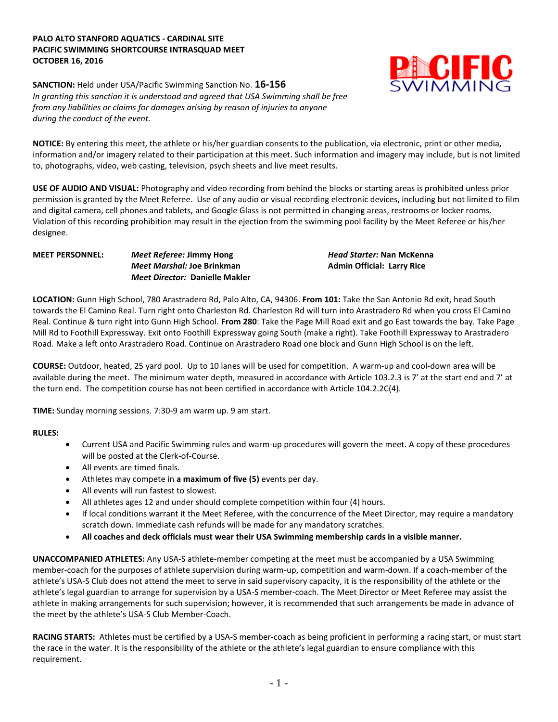## **PALO ALTO STANFORD AQUATICS - CARDINAL SITE PACIFIC SWIMMING SHORTCOURSE INTRASQUAD MEET OCTOBER 16, 2016**



**SANCTION:** Held under USA/Pacific Swimming Sanction No. **16-156** *In granting this sanction it is understood and agreed that USA Swimming shall be free from any liabilities or claims for damages arising by reason of injuries to anyone during the conduct of the event.*

**NOTICE:** By entering this meet, the athlete or his/her guardian consents to the publication, via electronic, print or other media, information and/or imagery related to their participation at this meet. Such information and imagery may include, but is not limited to, photographs, video, web casting, television, psych sheets and live meet results.

**USE OF AUDIO AND VISUAL:** Photography and video recording from behind the blocks or starting areas is prohibited unless prior permission is granted by the Meet Referee. Use of any audio or visual recording electronic devices, including but not limited to film and digital camera, cell phones and tablets, and Google Glass is not permitted in changing areas, restrooms or locker rooms. Violation of this recording prohibition may result in the ejection from the swimming pool facility by the Meet Referee or his/her designee.

## **MEET PERSONNEL:** *Meet Referee:* **Jimmy Hong** *Head Starter:* **Nan McKenna** *Meet Marshal:* **Joe Brinkman Admin Official: Larry Rice** *Meet Director:* **Danielle Makler**

**LOCATION:** Gunn High School, 780 Arastradero Rd, Palo Alto, CA, 94306. **From 101:** Take the San Antonio Rd exit, head South towards the El Camino Real. Turn right onto Charleston Rd. Charleston Rd will turn into Arastradero Rd when you cross El Camino Real. Continue & turn right into Gunn High School. **From 280**: Take the Page Mill Road exit and go East towards the bay. Take Page Mill Rd to Foothill Expressway. Exit onto Foothill Expressway going South (make a right). Take Foothill Expressway to Arastradero Road. Make a left onto Arastradero Road. Continue on Arastradero Road one block and Gunn High School is on the left.

**COURSE:** Outdoor, heated, 25 yard pool.Up to 10 lanes will be used for competition. A warm-up and cool-down area will be available during the meet. The minimum water depth, measured in accordance with Article 103.2.3 is 7' at the start end and 7' at the turn end. The competition course has not been certified in accordance with Article 104.2.2C(4).

**TIME:** Sunday morning sessions. 7:30-9 am warm up. 9 am start.

**RULES:** 

- Current USA and Pacific Swimming rules and warm-up procedures will govern the meet. A copy of these procedures will be posted at the Clerk-of-Course.
- All events are timed finals.
- Athletes may compete in **a maximum of five (5)** events per day.
- All events will run fastest to slowest.
- All athletes ages 12 and under should complete competition within four (4) hours.
- If local conditions warrant it the Meet Referee, with the concurrence of the Meet Director, may require a mandatory scratch down. Immediate cash refunds will be made for any mandatory scratches.
- **All coaches and deck officials must wear their USA Swimming membership cards in a visible manner.**

**UNACCOMPANIED ATHLETES:** Any USA-S athlete-member competing at the meet must be accompanied by a USA Swimming member-coach for the purposes of athlete supervision during warm-up, competition and warm-down. If a coach-member of the athlete's USA-S Club does not attend the meet to serve in said supervisory capacity, it is the responsibility of the athlete or the athlete's legal guardian to arrange for supervision by a USA-S member-coach. The Meet Director or Meet Referee may assist the athlete in making arrangements for such supervision; however, it is recommended that such arrangements be made in advance of the meet by the athlete's USA-S Club Member-Coach.

**RACING STARTS:** Athletes must be certified by a USA-S member-coach as being proficient in performing a racing start, or must start the race in the water. It is the responsibility of the athlete or the athlete's legal guardian to ensure compliance with this requirement.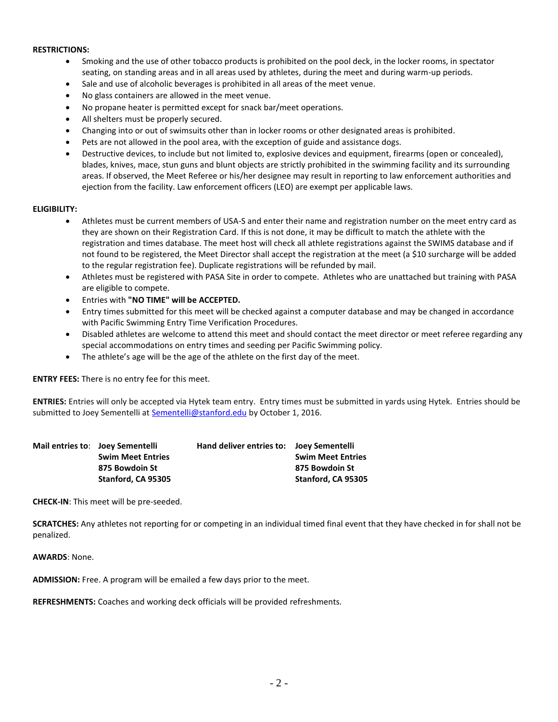### **RESTRICTIONS:**

- Smoking and the use of other tobacco products is prohibited on the pool deck, in the locker rooms, in spectator seating, on standing areas and in all areas used by athletes, during the meet and during warm-up periods.
- Sale and use of alcoholic beverages is prohibited in all areas of the meet venue.
- No glass containers are allowed in the meet venue.
- No propane heater is permitted except for snack bar/meet operations.
- All shelters must be properly secured.
- Changing into or out of swimsuits other than in locker rooms or other designated areas is prohibited.
- Pets are not allowed in the pool area, with the exception of guide and assistance dogs.
- Destructive devices, to include but not limited to, explosive devices and equipment, firearms (open or concealed), blades, knives, mace, stun guns and blunt objects are strictly prohibited in the swimming facility and its surrounding areas. If observed, the Meet Referee or his/her designee may result in reporting to law enforcement authorities and ejection from the facility. Law enforcement officers (LEO) are exempt per applicable laws.

#### **ELIGIBILITY:**

- Athletes must be current members of USA-S and enter their name and registration number on the meet entry card as they are shown on their Registration Card. If this is not done, it may be difficult to match the athlete with the registration and times database. The meet host will check all athlete registrations against the SWIMS database and if not found to be registered, the Meet Director shall accept the registration at the meet (a \$10 surcharge will be added to the regular registration fee). Duplicate registrations will be refunded by mail.
- Athletes must be registered with PASA Site in order to compete. Athletes who are unattached but training with PASA are eligible to compete.
- Entries with **"NO TIME" will be ACCEPTED.**
- Entry times submitted for this meet will be checked against a computer database and may be changed in accordance with Pacific Swimming Entry Time Verification Procedures.
- Disabled athletes are welcome to attend this meet and should contact the meet director or meet referee regarding any special accommodations on entry times and seeding per Pacific Swimming policy.
- The athlete's age will be the age of the athlete on the first day of the meet.

**ENTRY FEES:** There is no entry fee for this meet.

**ENTRIES:** Entries will only be accepted via Hytek team entry. Entry times must be submitted in yards using Hytek. Entries should be submitted to Joey Sementelli a[t Sementelli@stanford.edu](mailto:Sementelli@stanford.edu) by October 1, 2016.

| Hand deliver entries to: Joev Sementelli<br>Mail entries to: Joey Sementelli |  |                          |
|------------------------------------------------------------------------------|--|--------------------------|
| <b>Swim Meet Entries</b>                                                     |  | <b>Swim Meet Entries</b> |
| 875 Bowdoin St                                                               |  | 875 Bowdoin St           |
| Stanford, CA 95305                                                           |  | Stanford, CA 95305       |

**CHECK-IN**: This meet will be pre-seeded.

**SCRATCHES:** Any athletes not reporting for or competing in an individual timed final event that they have checked in for shall not be penalized.

**AWARDS**: None.

**ADMISSION:** Free. A program will be emailed a few days prior to the meet.

**REFRESHMENTS:** Coaches and working deck officials will be provided refreshments.